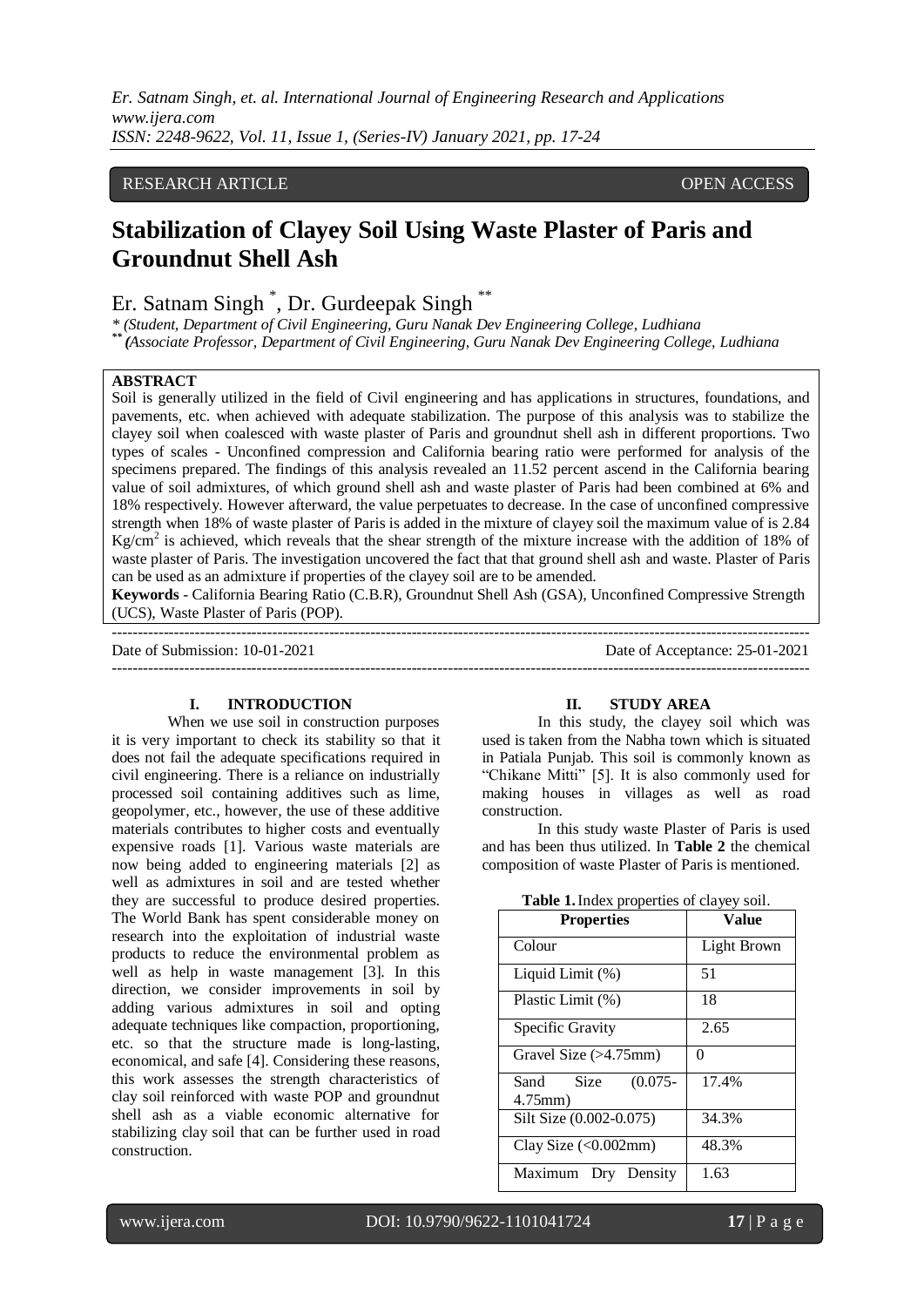*Er. Satnam Singh, et. al. International Journal of Engineering Research and Applications www.ijera.com ISSN: 2248-9622, Vol. 11, Issue 1, (Series-IV) January 2021, pp. 17-24*

### RESEARCH ARTICLE **CONSERVERS** OPEN ACCESS

# **Stabilization of Clayey Soil Using Waste Plaster of Paris and Groundnut Shell Ash**

## Er. Satnam Singh \* , Dr. Gurdeepak Singh \*\*

*\* (Student, Department of Civil Engineering, Guru Nanak Dev Engineering College, Ludhiana \*\* (Associate Professor, Department of Civil Engineering, Guru Nanak Dev Engineering College, Ludhiana*

#### **ABSTRACT**

Soil is generally utilized in the field of Civil engineering and has applications in structures, foundations, and pavements, etc. when achieved with adequate stabilization. The purpose of this analysis was to stabilize the clayey soil when coalesced with waste plaster of Paris and groundnut shell ash in different proportions. Two types of scales - Unconfined compression and California bearing ratio were performed for analysis of the specimens prepared. The findings of this analysis revealed an 11.52 percent ascend in the California bearing value of soil admixtures, of which ground shell ash and waste plaster of Paris had been combined at 6% and 18% respectively. However afterward, the value perpetuates to decrease. In the case of unconfined compressive strength when 18% of waste plaster of Paris is added in the mixture of clayey soil the maximum value of is 2.84 Kg/cm<sup>2</sup> is achieved, which reveals that the shear strength of the mixture increase with the addition of 18% of waste plaster of Paris. The investigation uncovered the fact that that ground shell ash and waste. Plaster of Paris can be used as an admixture if properties of the clayey soil are to be amended.

**Keywords** - California Bearing Ratio (C.B.R), Groundnut Shell Ash (GSA), Unconfined Compressive Strength (UCS), Waste Plaster of Paris (POP).

--------------------------------------------------------------------------------------------------------------------------------------- Date of Submission: 10-01-2021 Date of Acceptance: 25-01-2021 ---------------------------------------------------------------------------------------------------------------------------------------

#### **I. INTRODUCTION**

When we use soil in construction purposes it is very important to check its stability so that it does not fail the adequate specifications required in civil engineering. There is a reliance on industrially processed soil containing additives such as lime, geopolymer, etc., however, the use of these additive materials contributes to higher costs and eventually expensive roads [1]. Various waste materials are now being added to engineering materials [2] as well as admixtures in soil and are tested whether they are successful to produce desired properties. The World Bank has spent considerable money on research into the exploitation of industrial waste products to reduce the environmental problem as well as help in waste management [3]. In this direction, we consider improvements in soil by adding various admixtures in soil and opting adequate techniques like compaction, proportioning, etc. so that the structure made is long-lasting, economical, and safe [4]. Considering these reasons, this work assesses the strength characteristics of clay soil reinforced with waste POP and groundnut shell ash as a viable economic alternative for stabilizing clay soil that can be further used in road construction.

#### **II. STUDY AREA**

In this study, the clayey soil which was used is taken from the Nabha town which is situated in Patiala Punjab. This soil is commonly known as "Chikane Mitti" [5]. It is also commonly used for making houses in villages as well as road construction.

In this study waste Plaster of Paris is used and has been thus utilized. In **Table 2** the chemical composition of waste Plaster of Paris is mentioned.

| <b>Properties</b>                           | Value       |
|---------------------------------------------|-------------|
| Colour                                      | Light Brown |
| Liquid Limit (%)                            | 51          |
| Plastic Limit (%)                           | 18          |
| Specific Gravity                            | 2.65        |
| Gravel Size $(>4.75$ mm)                    | ∩           |
| Size<br>$(0.075 -$<br>Sand<br>$4.75$ mm $)$ | 17.4%       |
| Silt Size (0.002-0.075)                     | 34.3%       |
| Clay Size $(<0.002$ mm)                     | 48.3%       |
| Maximum<br>Drv<br>Density                   | 1.63        |

**Table 1.**Index properties of clayey soil.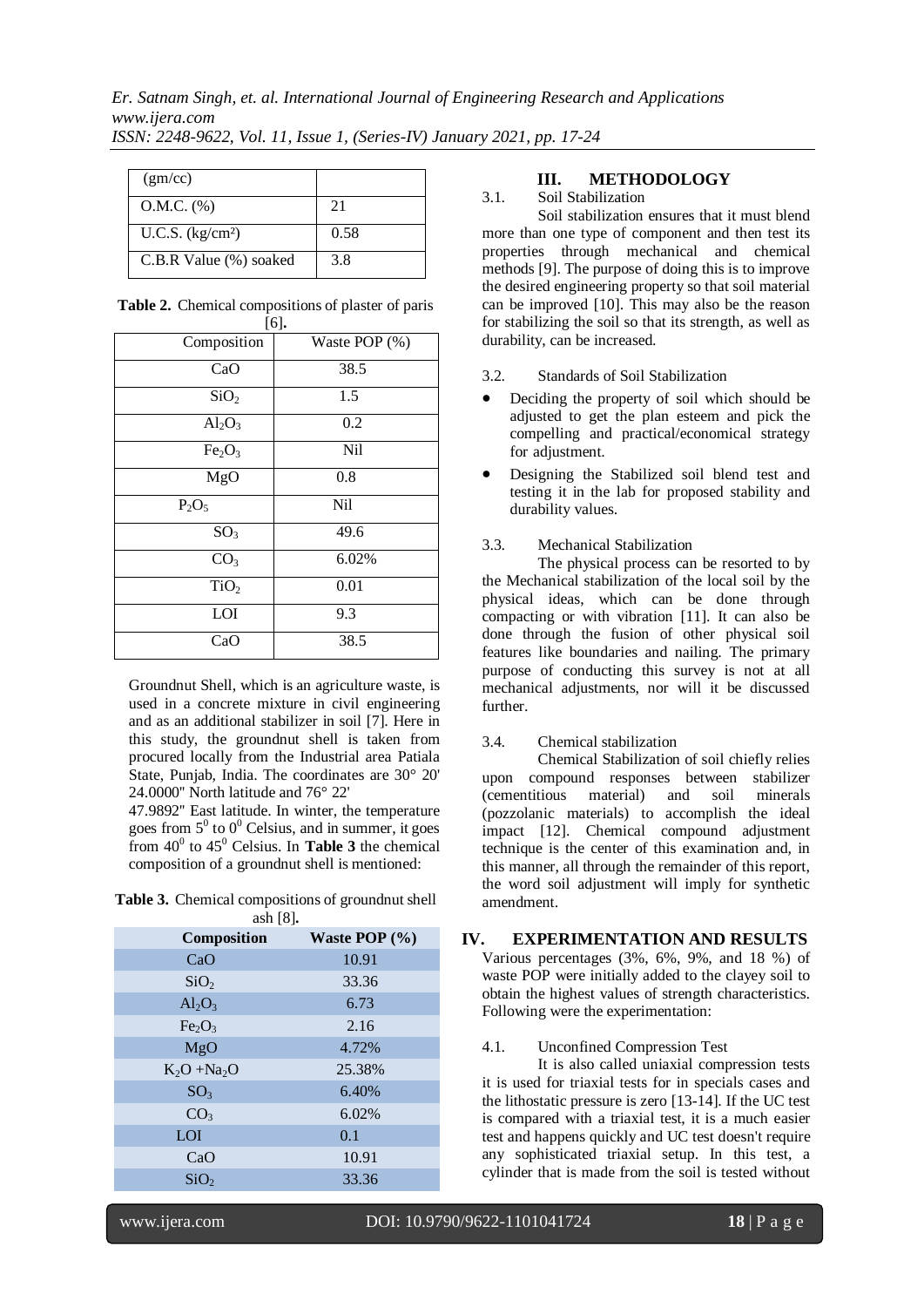| (gm/cc)                |      |
|------------------------|------|
| $O.M.C.$ (%)           | 21   |
| U.C.S. $(kg/cm2)$      | 0.58 |
| C.B.R Value (%) soaked | 3.8  |

| Composition                    | L = 1 =<br>Waste POP (%) |
|--------------------------------|--------------------------|
| CaO                            | 38.5                     |
| SiO <sub>2</sub>               | 1.5                      |
| $Al_2O_3$                      | 0.2                      |
| Fe <sub>2</sub> O <sub>3</sub> | Nil                      |
| MgO                            | 0.8                      |
| $P_2O_5$                       | Nil                      |
| $\overline{SO}_3$              | 49.6                     |
| CO <sub>3</sub>                | 6.02%                    |
| TiO <sub>2</sub>               | 0.01                     |
| LOI                            | 9.3                      |
| CaO                            | 38.5                     |

| Table 2. Chemical compositions of plaster of paris |  |
|----------------------------------------------------|--|
| 161.                                               |  |

Groundnut Shell, which is an agriculture waste, is used in a concrete mixture in civil engineering and as an additional stabilizer in soil [7]. Here in this study, the groundnut shell is taken from procured locally from the Industrial area Patiala State, Punjab, India. The coordinates are 30° 20' 24.0000'' North latitude and 76° 22'

47.9892'' East latitude. In winter, the temperature goes from  $5^{\circ}$  to  $0^{\circ}$  Celsius, and in summer, it goes from  $40^0$  to  $45^0$  Celsius. In **Table 3** the chemical composition of a groundnut shell is mentioned:

**Table 3.** Chemical compositions of groundnut shell ash [8]**.**

| Composition                    | Waste POP $(\% )$ |
|--------------------------------|-------------------|
| CaO                            | 10.91             |
| SiO <sub>2</sub>               | 33.36             |
| $Al_2O_3$                      | 6.73              |
| Fe <sub>2</sub> O <sub>3</sub> | 2.16              |
| MgO                            | 4.72%             |
| $K_2O + Na_2O$                 | 25.38%            |
| SO <sub>3</sub>                | 6.40%             |
| CO <sub>3</sub>                | 6.02%             |
| LOI                            | 0.1               |
| CaO                            | 10.91             |
| SiO <sub>2</sub>               | 33.36             |

#### **III. METHODOLOGY**

#### 3.1. Soil Stabilization

Soil stabilization ensures that it must blend more than one type of component and then test its properties through mechanical and chemical methods [9]. The purpose of doing this is to improve the desired engineering property so that soil material can be improved [10]. This may also be the reason for stabilizing the soil so that its strength, as well as durability, can be increased.

#### 3.2. Standards of Soil Stabilization

- Deciding the property of soil which should be adjusted to get the plan esteem and pick the compelling and practical/economical strategy for adjustment.
- Designing the Stabilized soil blend test and testing it in the lab for proposed stability and durability values.

#### 3.3. Mechanical Stabilization

The physical process can be resorted to by the Mechanical stabilization of the local soil by the physical ideas, which can be done through compacting or with vibration [11]. It can also be done through the fusion of other physical soil features like boundaries and nailing. The primary purpose of conducting this survey is not at all mechanical adjustments, nor will it be discussed further.

#### 3.4. Chemical stabilization

Chemical Stabilization of soil chiefly relies upon compound responses between stabilizer<br>(cementitious material) and soil minerals (cementitious material) and soil minerals (pozzolanic materials) to accomplish the ideal impact [12]. Chemical compound adjustment technique is the center of this examination and, in this manner, all through the remainder of this report, the word soil adjustment will imply for synthetic amendment.

#### **IV. EXPERIMENTATION AND RESULTS**

Various percentages (3%, 6%, 9%, and 18 %) of waste POP were initially added to the clayey soil to obtain the highest values of strength characteristics. Following were the experimentation:

#### 4.1. Unconfined Compression Test

It is also called uniaxial compression tests it is used for triaxial tests for in specials cases and the lithostatic pressure is zero [13-14]. If the UC test is compared with a triaxial test, it is a much easier test and happens quickly and UC test doesn't require any sophisticated triaxial setup. In this test, a cylinder that is made from the soil is tested without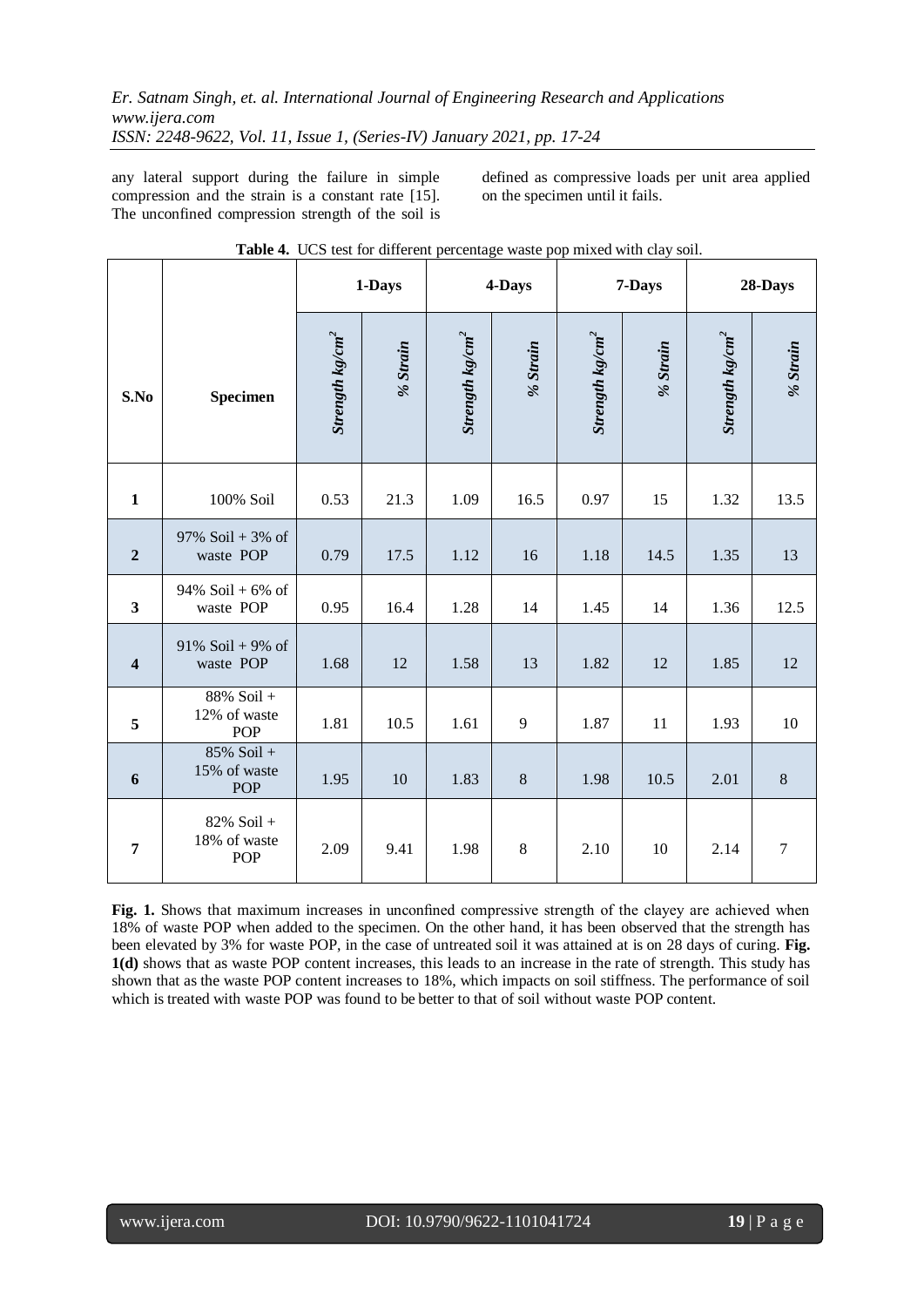any lateral support during the failure in simple compression and the strain is a constant rate [15]. The unconfined compression strength of the soil is

defined as compressive loads per unit area applied on the specimen until it fails.

|                         |                                             |                     | 1-Days   |                     | 4-Days   | 7-Days              |          | 28-Days             |                |
|-------------------------|---------------------------------------------|---------------------|----------|---------------------|----------|---------------------|----------|---------------------|----------------|
| S.No                    | <b>Specimen</b>                             | Strength kg/cm $^2$ | % Strain | Strength kg/cm $^2$ | % Strain | Strength kg/cm $^2$ | % Strain | Strength kg/cm $^2$ | % Strain       |
| $\mathbf{1}$            | 100% Soil                                   | 0.53                | 21.3     | 1.09                | 16.5     | 0.97                | 15       | 1.32                | 13.5           |
| $\boldsymbol{2}$        | 97% Soil + 3% of<br>waste POP               | 0.79                | 17.5     | 1.12                | 16       | 1.18                | 14.5     | 1.35                | 13             |
| $\overline{\mathbf{3}}$ | 94% Soil + $6%$ of<br>waste POP             | 0.95                | 16.4     | 1.28                | 14       | 1.45                | 14       | 1.36                | 12.5           |
| $\overline{\mathbf{4}}$ | 91% Soil + 9% of<br>waste POP               | 1.68                | 12       | 1.58                | 13       | 1.82                | 12       | 1.85                | 12             |
| 5                       | 88% Soil +<br>12% of waste<br><b>POP</b>    | 1.81                | 10.5     | 1.61                | 9        | 1.87                | 11       | 1.93                | 10             |
| 6                       | $85\%$ Soil +<br>15% of waste<br>POP        | 1.95                | 10       | 1.83                | $\,8\,$  | 1.98                | 10.5     | 2.01                | $\,8\,$        |
| $\overline{7}$          | $82\%$ Soil +<br>18% of waste<br><b>POP</b> | 2.09                | 9.41     | 1.98                | $8\,$    | 2.10                | 10       | 2.14                | $\overline{7}$ |

|  |  |  | Table 4. UCS test for different percentage waste pop mixed with clay soil. |  |  |
|--|--|--|----------------------------------------------------------------------------|--|--|
|--|--|--|----------------------------------------------------------------------------|--|--|

**Fig. 1.** Shows that maximum increases in unconfined compressive strength of the clayey are achieved when 18% of waste POP when added to the specimen. On the other hand, it has been observed that the strength has been elevated by 3% for waste POP, in the case of untreated soil it was attained at is on 28 days of curing. **Fig. 1(d)** shows that as waste POP content increases, this leads to an increase in the rate of strength. This study has shown that as the waste POP content increases to 18%, which impacts on soil stiffness. The performance of soil which is treated with waste POP was found to be better to that of soil without waste POP content.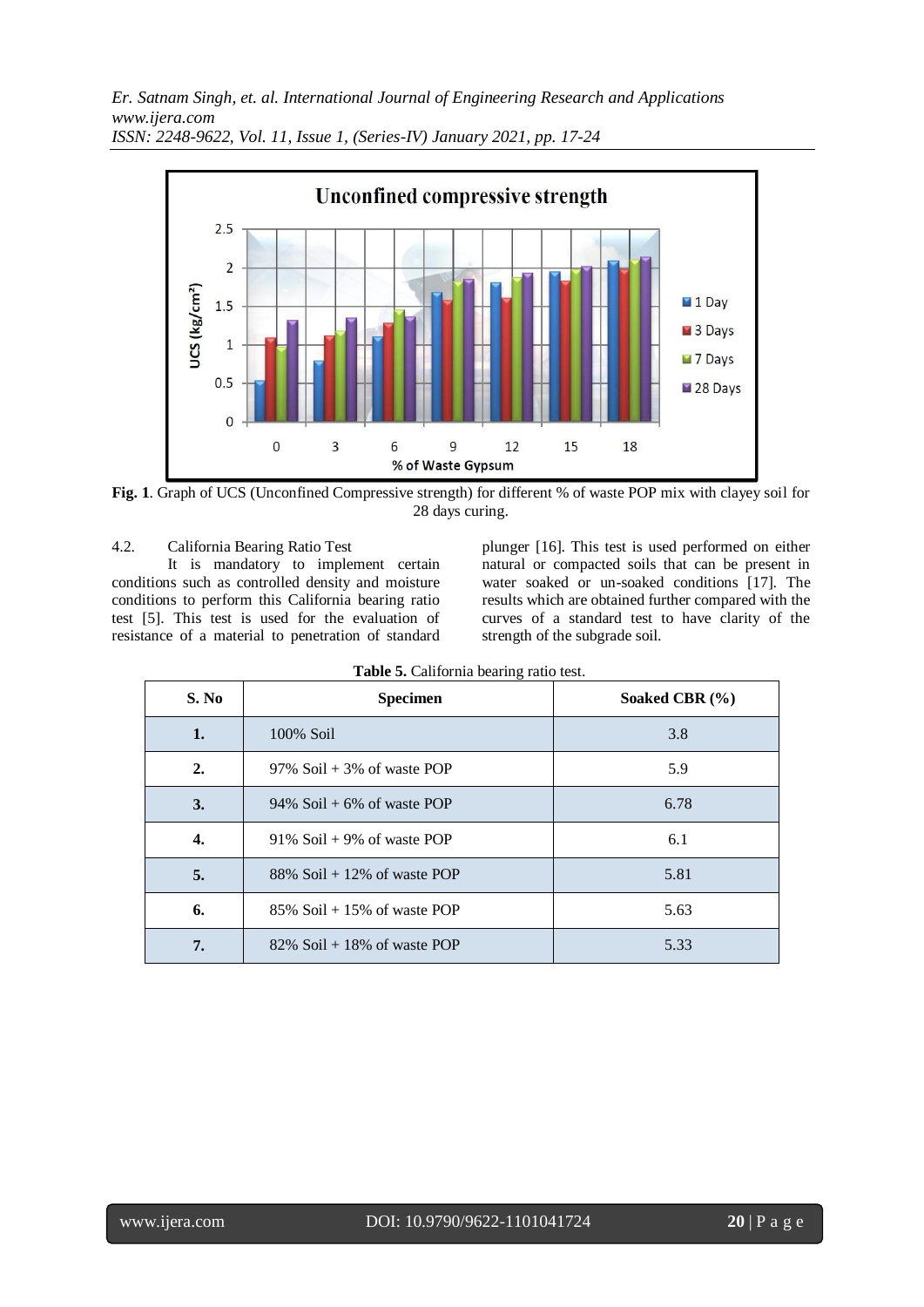*Er. Satnam Singh, et. al. International Journal of Engineering Research and Applications www.ijera.com*



*ISSN: 2248-9622, Vol. 11, Issue 1, (Series-IV) January 2021, pp. 17-24*

**Fig. 1**. Graph of UCS (Unconfined Compressive strength) for different % of waste POP mix with clayey soil for 28 days curing.

4.2. California Bearing Ratio Test

It is mandatory to implement certain conditions such as controlled density and moisture conditions to perform this California bearing ratio test [5]. This test is used for the evaluation of resistance of a material to penetration of standard plunger [16]. This test is used performed on either natural or compacted soils that can be present in water soaked or un-soaked conditions [17]. The results which are obtained further compared with the curves of a standard test to have clarity of the strength of the subgrade soil.

| S. No | <b>Specimen</b>                 | Soaked CBR $(\% )$ |
|-------|---------------------------------|--------------------|
| 1.    | 100% Soil                       | 3.8                |
| 2.    | 97% Soil $+3\%$ of waste POP    | 5.9                |
| 3.    | 94% Soil + 6% of waste POP      | 6.78               |
| 4.    | $91\%$ Soil + 9% of waste POP   | 6.1                |
| 5.    | 88% Soil + 12% of waste POP     | 5.81               |
| 6.    | $85\%$ Soil + 15\% of waste POP | 5.63               |
| 7.    | $82\%$ Soil + 18% of waste POP  | 5.33               |

|  | Table 5. California bearing ratio test. |  |  |  |
|--|-----------------------------------------|--|--|--|
|--|-----------------------------------------|--|--|--|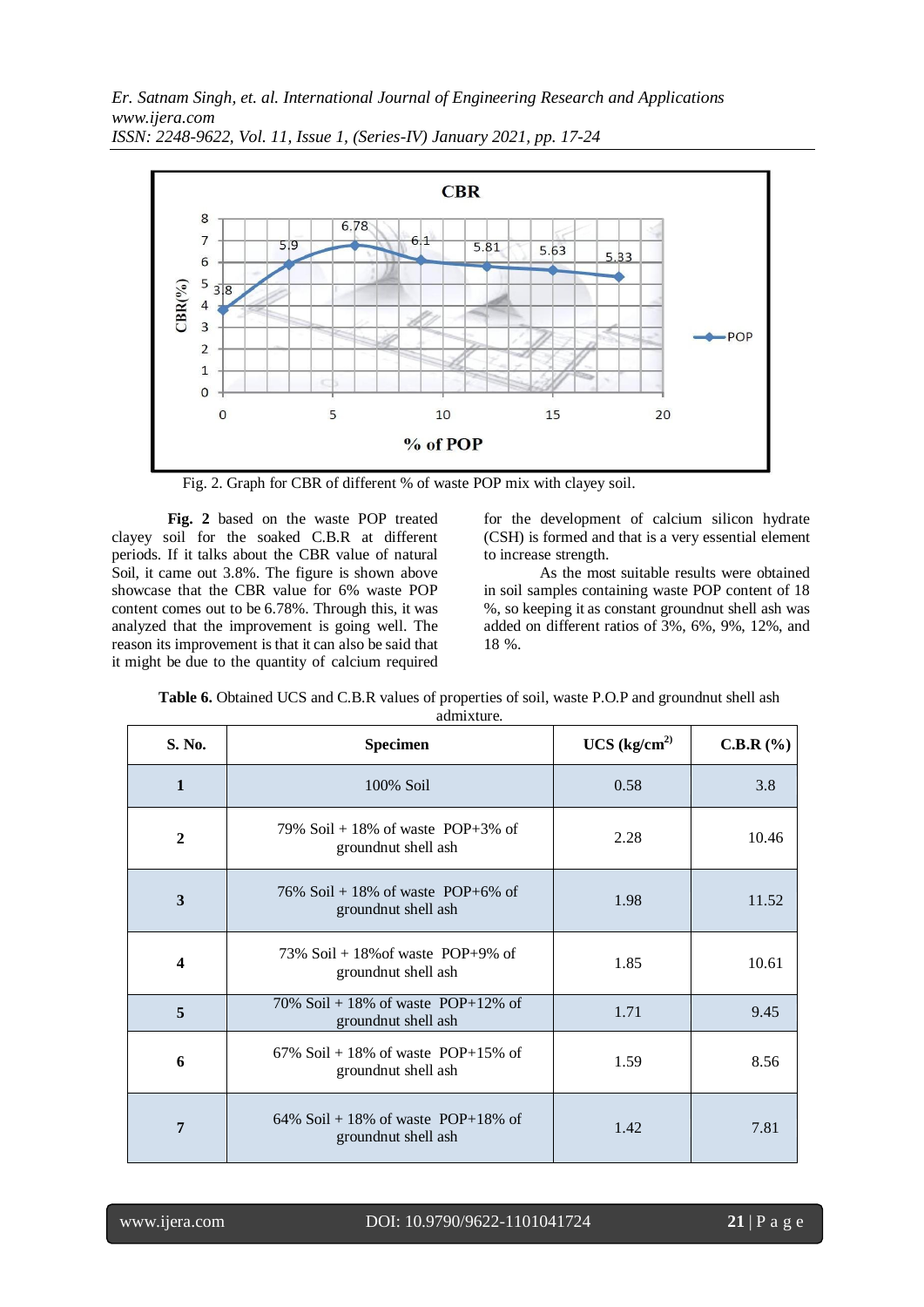*Er. Satnam Singh, et. al. International Journal of Engineering Research and Applications www.ijera.com*



*ISSN: 2248-9622, Vol. 11, Issue 1, (Series-IV) January 2021, pp. 17-24*

Fig. 2. Graph for CBR of different % of waste POP mix with clayey soil.

**Fig. 2** based on the waste POP treated clayey soil for the soaked C.B.R at different periods. If it talks about the CBR value of natural Soil, it came out 3.8%. The figure is shown above showcase that the CBR value for 6% waste POP content comes out to be 6.78%. Through this, it was analyzed that the improvement is going well. The reason its improvement is that it can also be said that it might be due to the quantity of calcium required

for the development of calcium silicon hydrate (CSH) is formed and that is a very essential element to increase strength.

As the most suitable results were obtained in soil samples containing waste POP content of 18 %, so keeping it as constant groundnut shell ash was added on different ratios of 3%, 6%, 9%, 12%, and 18 %.

| S. No.       | <b>Specimen</b>                                               | UCS (kg/cm <sup>2</sup> ) | C.B.R(%) |
|--------------|---------------------------------------------------------------|---------------------------|----------|
| $\mathbf{1}$ | 100% Soil                                                     | 0.58                      | 3.8      |
| $\mathbf{2}$ | 79% Soil + 18% of waste POP+3% of<br>groundnut shell ash      | 2.28                      | 10.46    |
| 3            | 76% Soil + 18% of waste POP+6% of<br>groundnut shell ash      | 1.98                      | 11.52    |
| 4            | $73\%$ Soil + 18\% of waste POP+9\% of<br>groundnut shell ash | 1.85                      | 10.61    |
| 5            | 70% Soil + 18% of waste POP+12% of<br>groundnut shell ash     | 1.71                      | 9.45     |
| 6            | 67% Soil + 18% of waste POP+15% of<br>ground nut shell as h   | 1.59                      | 8.56     |
| 7            | 64% Soil + 18% of waste POP+18% of<br>groundnut shell ash     | 1.42                      | 7.81     |

**Table 6.** Obtained UCS and C.B.R values of properties of soil, waste P.O.P and groundnut shell ash admixture.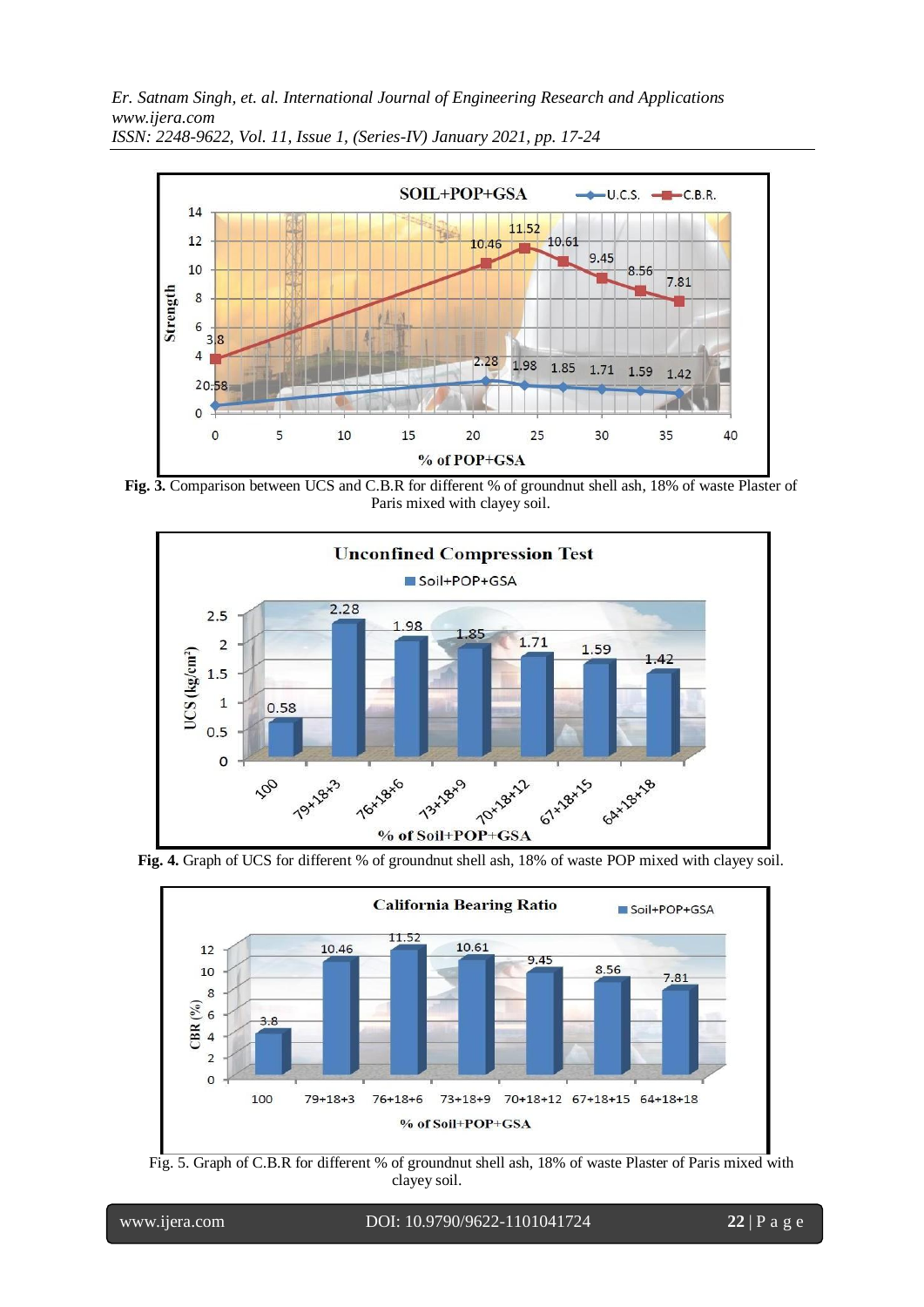*Er. Satnam Singh, et. al. International Journal of Engineering Research and Applications www.ijera.com*



*ISSN: 2248-9622, Vol. 11, Issue 1, (Series-IV) January 2021, pp. 17-24*

**Fig. 3.** Comparison between UCS and C.B.R for different % of groundnut shell ash, 18% of waste Plaster of Paris mixed with clayey soil.



**Fig. 4.** Graph of UCS for different % of groundnut shell ash, 18% of waste POP mixed with clayey soil.



Fig. 5. Graph of C.B.R for different % of groundnut shell ash, 18% of waste Plaster of Paris mixed with clayey soil.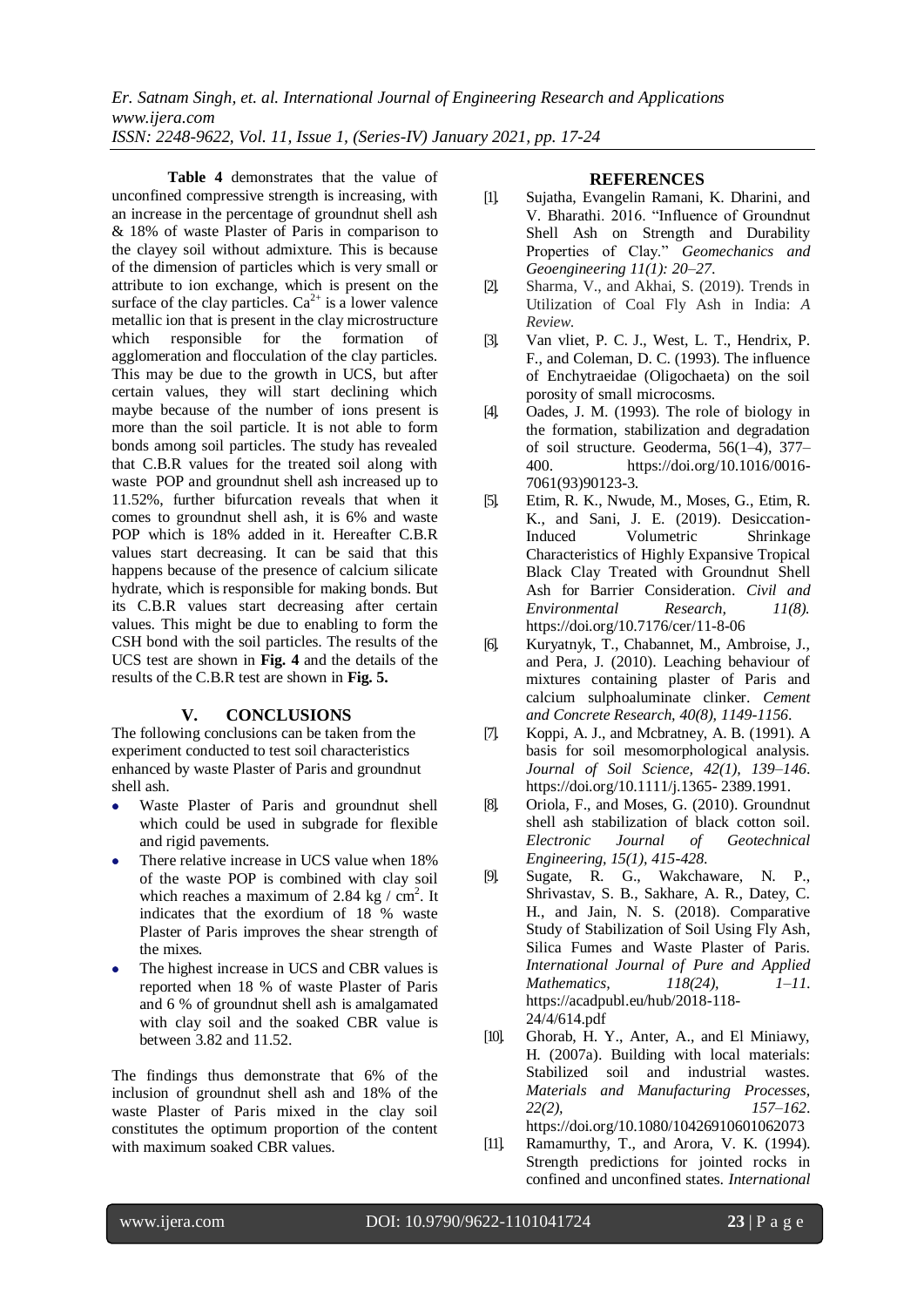*Er. Satnam Singh, et. al. International Journal of Engineering Research and Applications www.ijera.com ISSN: 2248-9622, Vol. 11, Issue 1, (Series-IV) January 2021, pp. 17-24*

**Table 4** demonstrates that the value of unconfined compressive strength is increasing, with an increase in the percentage of groundnut shell ash & 18% of waste Plaster of Paris in comparison to the clayey soil without admixture. This is because of the dimension of particles which is very small or attribute to ion exchange, which is present on the surface of the clay particles.  $Ca^{2+}$  is a lower valence metallic ion that is present in the clay microstructure which responsible for the formation of agglomeration and flocculation of the clay particles. This may be due to the growth in UCS, but after certain values, they will start declining which maybe because of the number of ions present is more than the soil particle. It is not able to form bonds among soil particles. The study has revealed that C.B.R values for the treated soil along with waste POP and groundnut shell ash increased up to 11.52%, further bifurcation reveals that when it comes to groundnut shell ash, it is 6% and waste POP which is 18% added in it. Hereafter C.B.R values start decreasing. It can be said that this happens because of the presence of calcium silicate hydrate, which is responsible for making bonds. But its C.B.R values start decreasing after certain values. This might be due to enabling to form the CSH bond with the soil particles. The results of the UCS test are shown in **Fig. 4** and the details of the results of the C.B.R test are shown in **Fig. 5.**

#### **V. CONCLUSIONS**

The following conclusions can be taken from the experiment conducted to test soil characteristics enhanced by waste Plaster of Paris and groundnut shell ash.

- Waste Plaster of Paris and groundnut shell which could be used in subgrade for flexible and rigid pavements.
- There relative increase in UCS value when 18% of the waste POP is combined with clay soil which reaches a maximum of 2.84 kg  $/$  cm<sup>2</sup>. It indicates that the exordium of 18 % waste Plaster of Paris improves the shear strength of the mixes.
- The highest increase in UCS and CBR values is reported when 18 % of waste Plaster of Paris and 6 % of groundnut shell ash is amalgamated with clay soil and the soaked CBR value is between 3.82 and 11.52.

The findings thus demonstrate that 6% of the inclusion of groundnut shell ash and 18% of the waste Plaster of Paris mixed in the clay soil constitutes the optimum proportion of the content with maximum soaked CBR values.

#### **REFERENCES**

- [1]. Sujatha, Evangelin Ramani, K. Dharini, and V. Bharathi. 2016. "Influence of Groundnut Shell Ash on Strength and Durability Properties of Clay." *Geomechanics and Geoengineering 11(1): 20–27*.
- [2]. Sharma, V., and Akhai, S. (2019). Trends in Utilization of Coal Fly Ash in India: *A Review*.
- [3]. Van vliet, P. C. J., West, L. T., Hendrix, P. F., and Coleman, D. C. (1993). The influence of Enchytraeidae (Oligochaeta) on the soil porosity of small microcosms.
- [4]. Oades, J. M. (1993). The role of biology in the formation, stabilization and degradation of soil structure. Geoderma, 56(1–4), 377– 400. https://doi.org/10.1016/0016- 7061(93)90123-3.
- [5]. Etim, R. K., Nwude, M., Moses, G., Etim, R. K., and Sani, J. E. (2019). Desiccation-Induced Volumetric Shrinkage Characteristics of Highly Expansive Tropical Black Clay Treated with Groundnut Shell Ash for Barrier Consideration. *Civil and Environmental Research, 11(8).* https://doi.org/10.7176/cer/11-8-06
- [6]. Kuryatnyk, T., Chabannet, M., Ambroise, J., and Pera, J. (2010). Leaching behaviour of mixtures containing plaster of Paris and calcium sulphoaluminate clinker. *Cement and Concrete Research, 40(8), 1149-1156*.
- [7]. Koppi, A. J., and Mcbratney, A. B. (1991). A basis for soil mesomorphological analysis. *Journal of Soil Science, 42(1), 139–146*. https://doi.org/10.1111/j.1365- 2389.1991.
- [8]. Oriola, F., and Moses, G. (2010). Groundnut shell ash stabilization of black cotton soil. *Electronic Journal of Geotechnical Engineering, 15(1), 415-428*.
- [9]. Sugate, R. G., Wakchaware, N. P., Shrivastav, S. B., Sakhare, A. R., Datey, C. H., and Jain, N. S. (2018). Comparative Study of Stabilization of Soil Using Fly Ash, Silica Fumes and Waste Plaster of Paris. *International Journal of Pure and Applied Mathematics, 118(24), 1–11*. https://acadpubl.eu/hub/2018-118- 24/4/614.pdf
- [10]. Ghorab, H. Y., Anter, A., and El Miniawy, H. (2007a). Building with local materials: Stabilized soil and industrial wastes. *Materials and Manufacturing Processes, 22(2), 157–162*. https://doi.org/10.1080/10426910601062073
- [11]. Ramamurthy, T., and Arora, V. K. (1994). Strength predictions for jointed rocks in confined and unconfined states. *International*